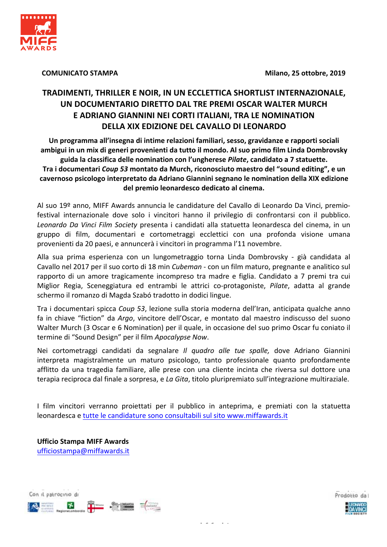Milano, 25 ottobre, 2019



# **COMUNICATO STAMPA**

# TRADIMENTI, THRILLER E NOIR, IN UN ECCLETTICA SHORTLIST INTERNAZIONALE, UN DOCUMENTARIO DIRETTO DAL TRE PREMI OSCAR WALTER MURCH E ADRIANO GIANNINI NEI CORTI ITALIANI, TRA LE NOMINATION **DELLA XIX EDIZIONE DEL CAVALLO DI LEONARDO**

Un programma all'insegna di intime relazioni familiari, sesso, gravidanze e rapporti sociali ambigui in un mix di generi provenienti da tutto il mondo. Al suo primo film Linda Dombrovsky guida la classifica delle nomination con l'ungherese Pilate, candidato a 7 statuette. Tra i documentari Coup 53 montato da Murch, riconosciuto maestro del "sound editing", e un cavernoso psicologo interpretato da Adriano Giannini segnano le nomination della XIX edizione del premio leonardesco dedicato al cinema.

Al suo 19º anno. MIFF Awards annuncia le candidature del Cavallo di Leonardo Da Vinci, premiofestival internazionale dove solo i vincitori hanno il privilegio di confrontarsi con il pubblico. Leonardo Da Vinci Film Society presenta i candidati alla statuetta leonardesca del cinema, in un gruppo di film, documentari e cortometraggi ecclettici con una profonda visione umana provenienti da 20 paesi, e annuncerà i vincitori in programma l'11 novembre.

Alla sua prima esperienza con un lungometraggio torna Linda Dombrovsky - già candidata al Cavallo nel 2017 per il suo corto di 18 min Cubeman - con un film maturo, pregnante e analitico sul rapporto di un amore tragicamente incompreso tra madre e figlia. Candidato a 7 premi tra cui Miglior Regia, Sceneggiatura ed entrambi le attrici co-protagoniste, Pilate, adatta al grande schermo il romanzo di Magda Szabó tradotto in dodici lingue.

Tra i documentari spicca Coup 53, lezione sulla storia moderna dell'Iran, anticipata qualche anno fa in chiave "fiction" da Argo, vincitore dell'Oscar, e montato dal maestro indiscusso del suono Walter Murch (3 Oscar e 6 Nomination) per il quale, in occasione del suo primo Oscar fu coniato il termine di "Sound Design" per il film Apocalypse Now.

Nei cortometraggi candidati da segnalare *Il quadro alle tue spalle*, dove Adriano Giannini interpreta magistralmente un maturo psicologo, tanto professionale quanto profondamente afflitto da una tragedia familiare, alle prese con una cliente incinta che riversa sul dottore una terapia reciproca dal finale a sorpresa, e La Gita, titolo pluripremiato sull'integrazione multiraziale.

I film vincitori verranno proiettati per il pubblico in anteprima, e premiati con la statuetta leonardesca e tutte le candidature sono consultabili sul sito www.miffawards.it

**Ufficio Stampa MIFF Awards** ufficiostampa@miffawards.it

Con il patrocinio di



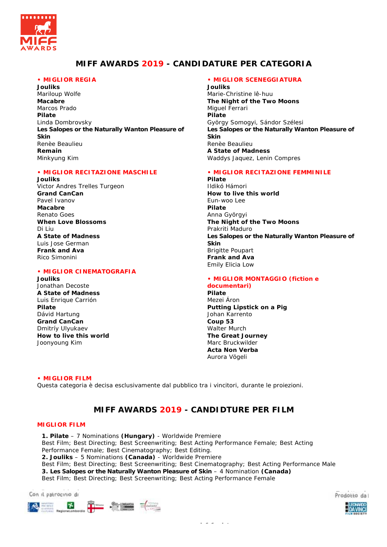

# **MIFF AWARDS 2019 - CANDIDATURE PER CATEGORIA**

# **• MIGLIOR REGIA**

**Jouliks**  Mariloup Wolfe **Macabre**  Marcos Prado **Pilate**  Linda Dombrovsky **Les Salopes or the Naturally Wanton Pleasure of Skin**  Renèe Beaulieu **Remain**  Minkyung Kim

## **• MIGLIOR RECITAZIONE MASCHILE**

**Jouliks**  Victor Andres Trelles Turgeon **Grand CanCan**  Pavel Ivanov **Macabre**  Renato Goes **When Love Blossoms** Di Liu **A State of Madness**  Luis Jose German **Frank and Ava**  Rico Simonini

#### **• MIGLIOR CINEMATOGRAFIA**

**Jouliks**  Jonathan Decoste **A State of Madness**  Luis Enrique Carrión **Pilate**  Dávid Hartung **Grand CanCan**  Dmitríy Ulyukaev **How to live this world**  Joonyoung Kim

### **• MIGLIOR SCENEGGIATURA**

**Jouliks**  Marie-Christine lê-huu **The Night of the Two Moons**  Miguel Ferrari **Pilate**  György Somogyi, Sándor Szélesi **Les Salopes or the Naturally Wanton Pleasure of Skin**  Renèe Beaulieu **A State of Madness**  Waddys Jaquez, Lenin Compres

## **• MIGLIOR RECITAZIONE FEMMINILE**

**Pilate**  Ildikó Hámori **How to live this world**  Eun-woo Lee **Pilate**  Anna Györgyi **The Night of the Two Moons**  Prakriti Maduro **Les Salopes or the Naturally Wanton Pleasure of Skin**  Brigitte Poupart **Frank and Ava**  Emily Elicia Low

## **• MIGLIOR MONTAGGIO (fiction e documentari)**

**Pilate**  Mezei Áron **Putting Lipstick on a Pig**  Johan Karrento **Coup 53**  Walter Murch **The Great Journey**  Marc Bruckwilder **Acta Non Verba**  Aurora Vögeli

#### **• MIGLIOR FILM**

Questa categoria è decisa esclusivamente dal pubblico tra i vincitori, durante le proiezioni.

# **MIFF AWARDS 2019 - CANDIDTURE PER FILM**

 *i f i talentarist* **i t** 

#### **MIGLIOR FILM**

**1. Pilate** – 7 Nominations **(Hungary)** - Worldwide Premiere Best Film; Best Directing; Best Screenwriting; Best Acting Performance Female; Best Acting Performance Female; Best Cinematography; Best Editing. **2. Jouliks** – 5 Nominations **(Canada)** - Worldwide Premiere Best Film; Best Directing; Best Screenwriting; Best Cinematography; Best Acting Performance Male **3. Les Salopes or the Naturally Wanton Pleasure of Skin** – 4 Nomination **(Canada)** Best Film; Best Directing; Best Screenwriting; Best Acting Performance Female

Con il patrocinio di Prodotto da